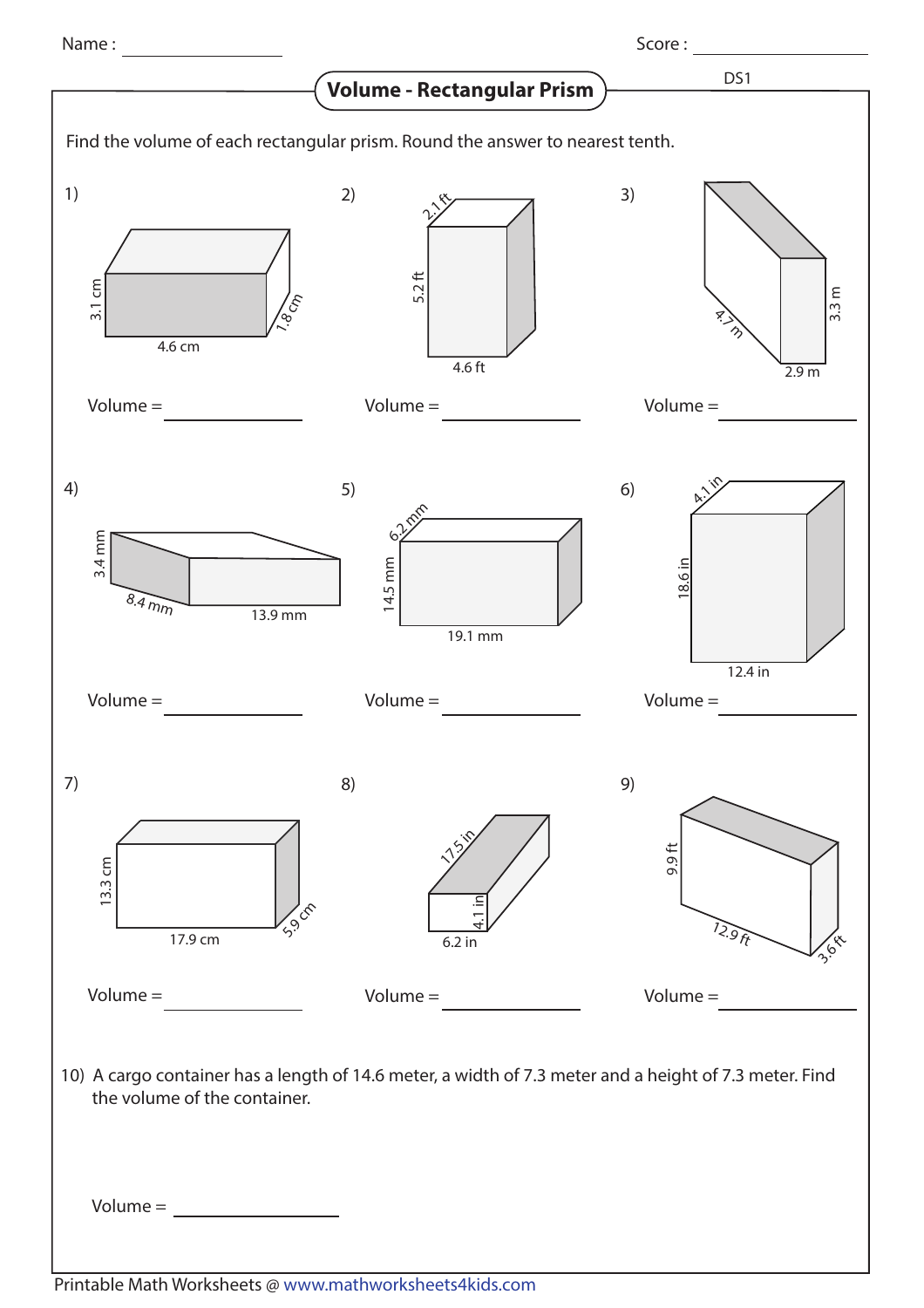Name : Score :

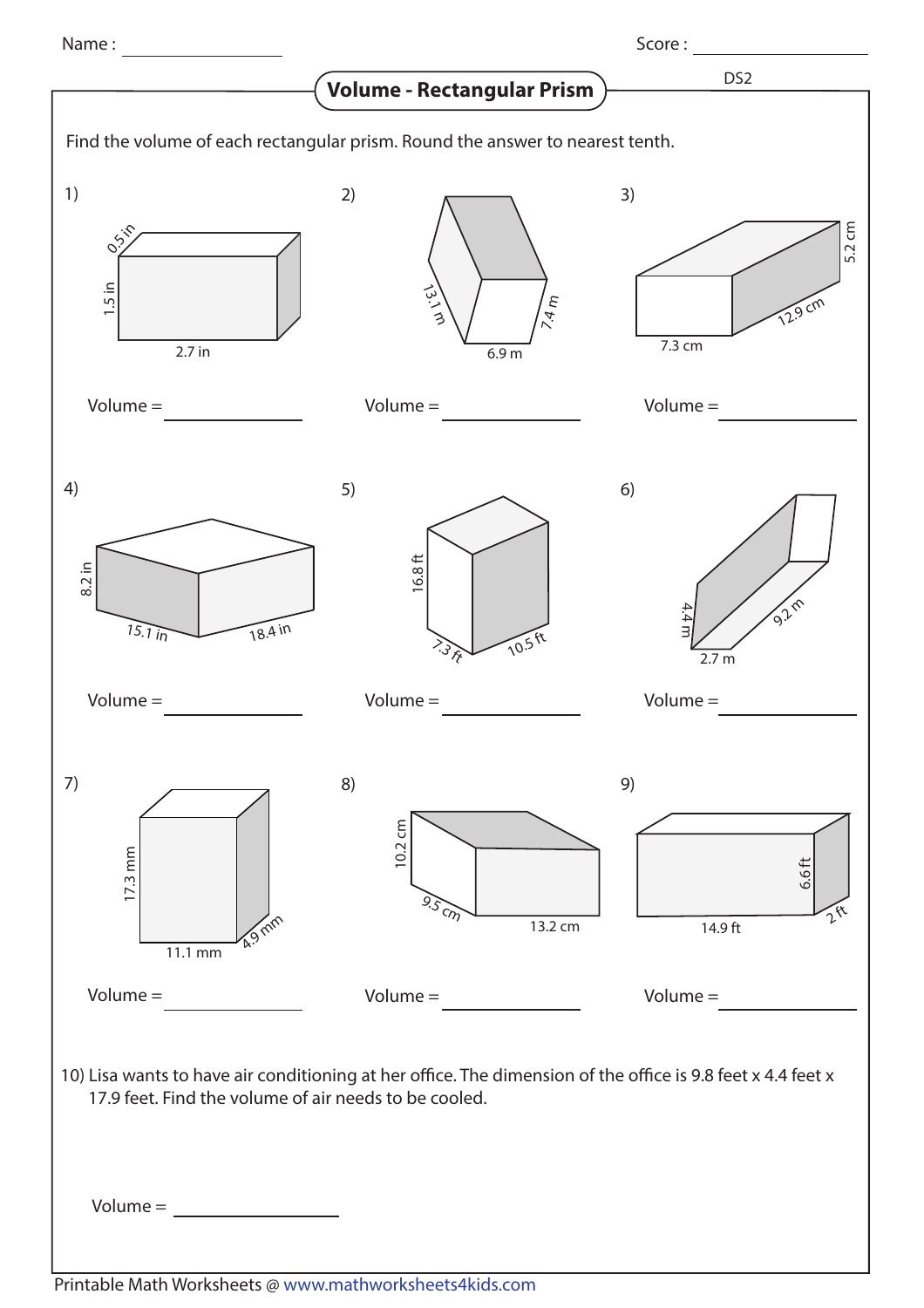Name : Score :

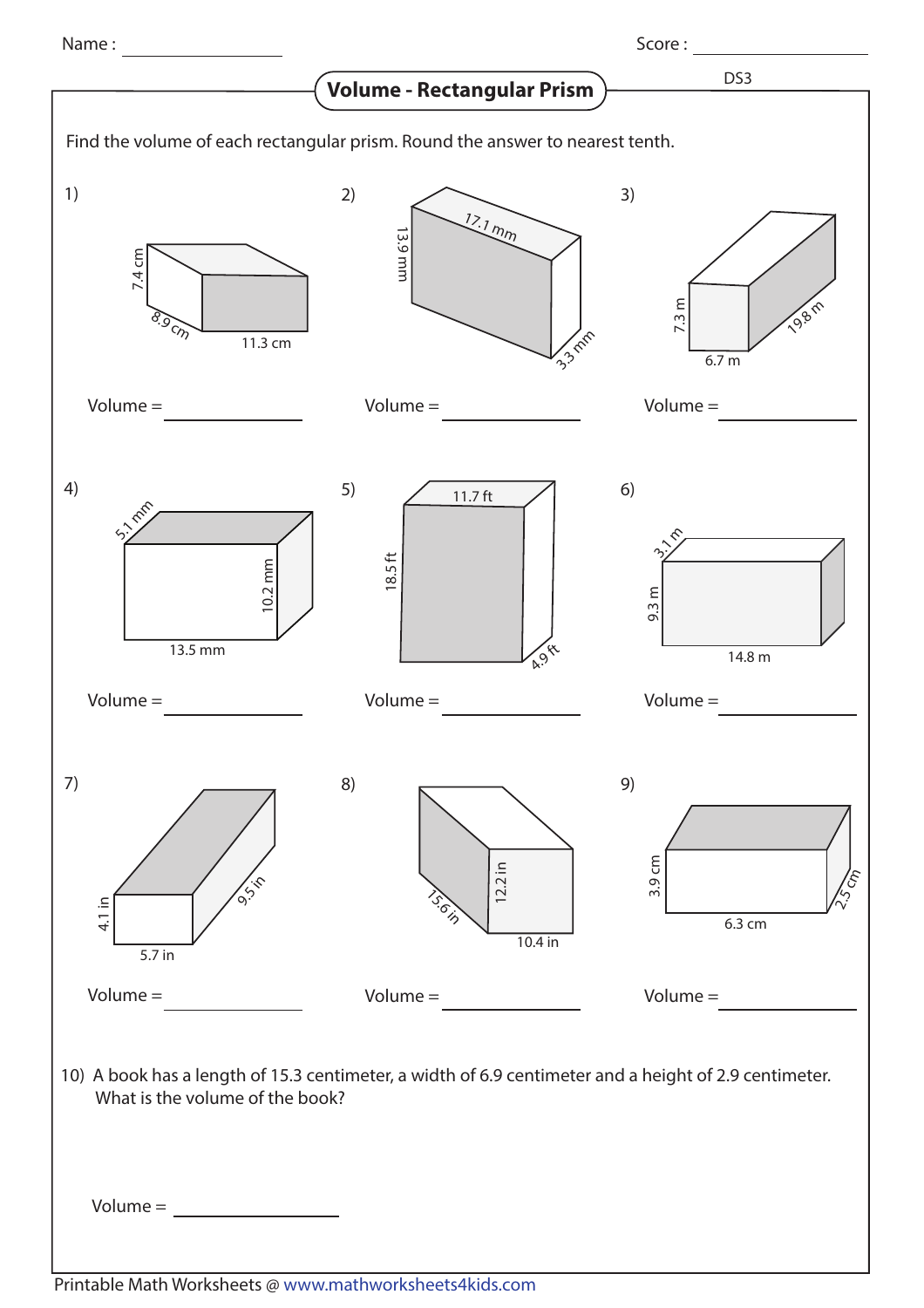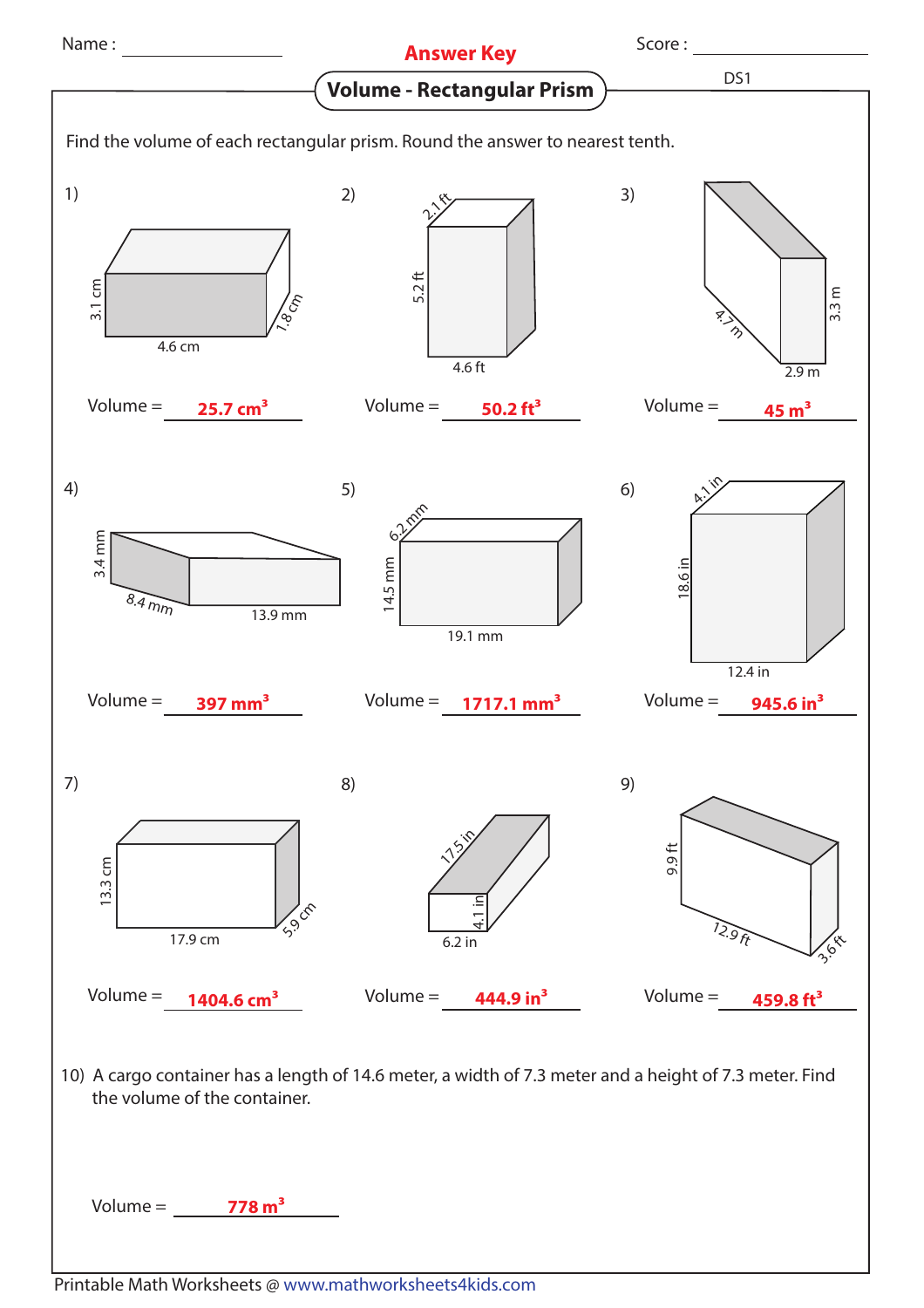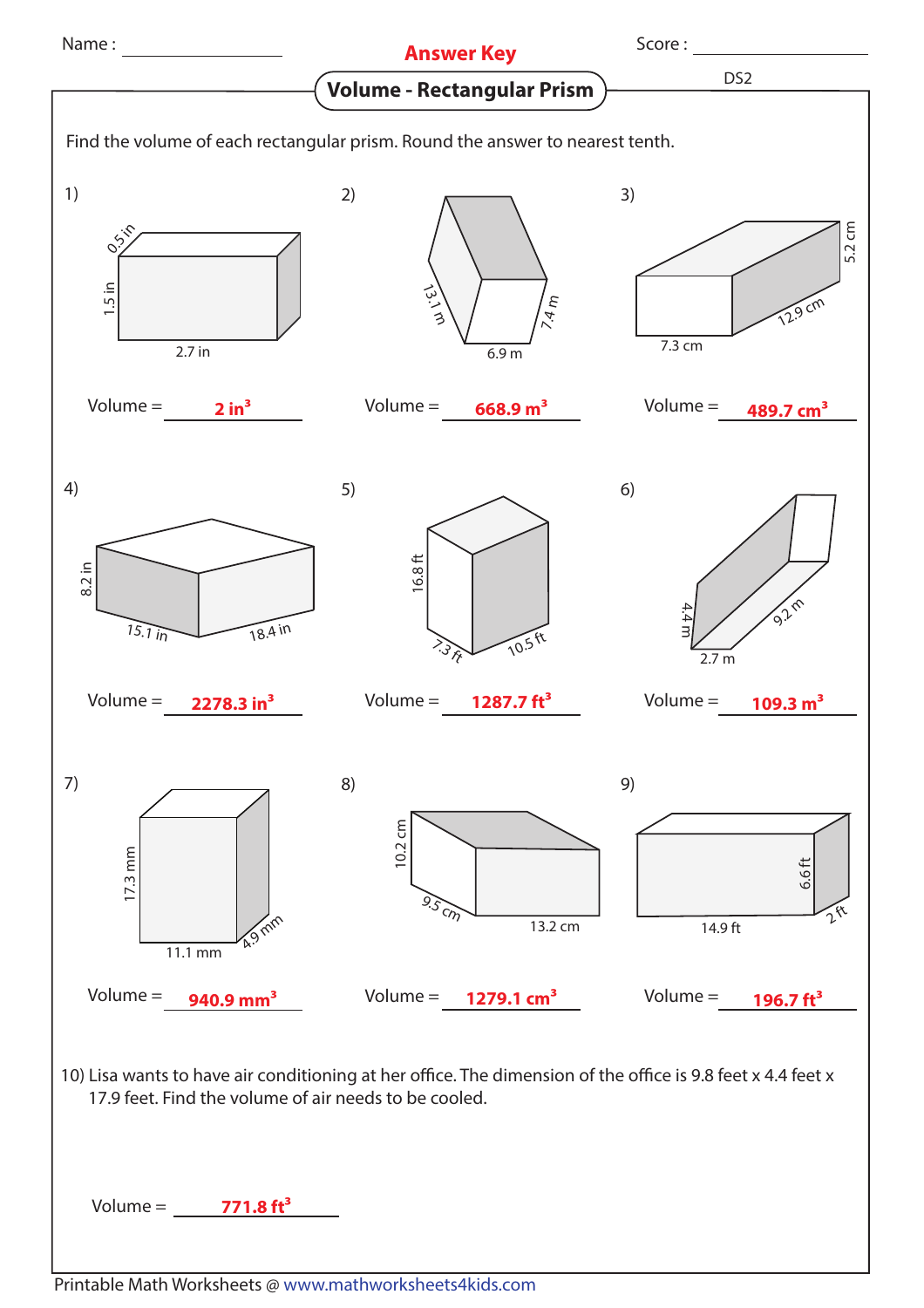